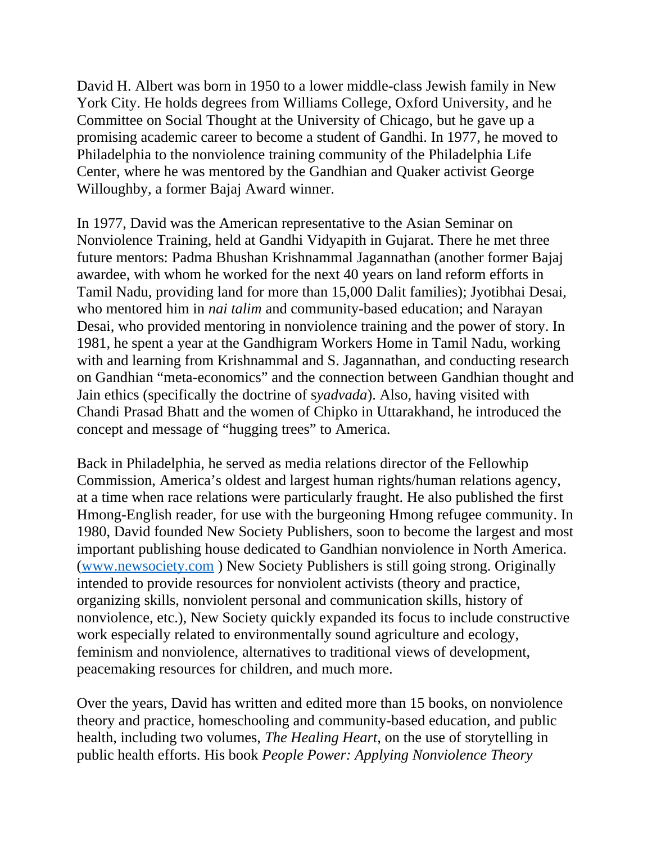David H. Albert was born in 1950 to a lower middle-class Jewish family in New York City. He holds degrees from Williams College, Oxford University, and he Committee on Social Thought at the University of Chicago, but he gave up a promising academic career to become a student of Gandhi. In 1977, he moved to Philadelphia to the nonviolence training community of the Philadelphia Life Center, where he was mentored by the Gandhian and Quaker activist George Willoughby, a former Bajaj Award winner.

In 1977, David was the American representative to the Asian Seminar on Nonviolence Training, held at Gandhi Vidyapith in Gujarat. There he met three future mentors: Padma Bhushan Krishnammal Jagannathan (another former Bajaj awardee, with whom he worked for the next 40 years on land reform efforts in Tamil Nadu, providing land for more than 15,000 Dalit families); Jyotibhai Desai, who mentored him in *nai talim* and community-based education; and Narayan Desai, who provided mentoring in nonviolence training and the power of story. In 1981, he spent a year at the Gandhigram Workers Home in Tamil Nadu, working with and learning from Krishnammal and S. Jagannathan, and conducting research on Gandhian "meta-economics" and the connection between Gandhian thought and Jain ethics (specifically the doctrine of s*yadvada*). Also, having visited with Chandi Prasad Bhatt and the women of Chipko in Uttarakhand, he introduced the concept and message of "hugging trees" to America.

Back in Philadelphia, he served as media relations director of the Fellowhip Commission, America's oldest and largest human rights/human relations agency, at a time when race relations were particularly fraught. He also published the first Hmong-English reader, for use with the burgeoning Hmong refugee community. In 1980, David founded New Society Publishers, soon to become the largest and most important publishing house dedicated to Gandhian nonviolence in North America. ([www.newsociety.com](http://www.newsociety.com/) ) New Society Publishers is still going strong. Originally intended to provide resources for nonviolent activists (theory and practice, organizing skills, nonviolent personal and communication skills, history of nonviolence, etc.), New Society quickly expanded its focus to include constructive work especially related to environmentally sound agriculture and ecology, feminism and nonviolence, alternatives to traditional views of development, peacemaking resources for children, and much more.

Over the years, David has written and edited more than 15 books, on nonviolence theory and practice, homeschooling and community-based education, and public health, including two volumes, *The Healing Heart*, on the use of storytelling in public health efforts. His book *People Power: Applying Nonviolence Theory*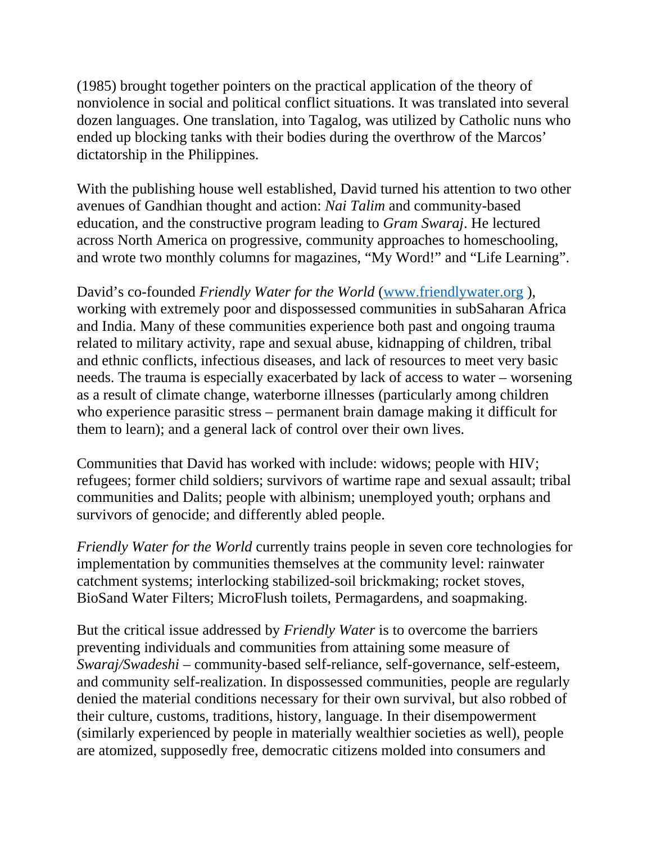(1985) brought together pointers on the practical application of the theory of nonviolence in social and political conflict situations. It was translated into several dozen languages. One translation, into Tagalog, was utilized by Catholic nuns who ended up blocking tanks with their bodies during the overthrow of the Marcos' dictatorship in the Philippines.

With the publishing house well established, David turned his attention to two other avenues of Gandhian thought and action: *Nai Talim* and community-based education, and the constructive program leading to *Gram Swaraj*. He lectured across North America on progressive, community approaches to homeschooling, and wrote two monthly columns for magazines, "My Word!" and "Life Learning".

David's co-founded *Friendly Water for the World* (www.friendlywater.org), working with extremely poor and dispossessed communities in subSaharan Africa and India. Many of these communities experience both past and ongoing trauma related to military activity, rape and sexual abuse, kidnapping of children, tribal and ethnic conflicts, infectious diseases, and lack of resources to meet very basic needs. The trauma is especially exacerbated by lack of access to water – worsening as a result of climate change, waterborne illnesses (particularly among children who experience parasitic stress – permanent brain damage making it difficult for them to learn); and a general lack of control over their own lives.

Communities that David has worked with include: widows; people with HIV; refugees; former child soldiers; survivors of wartime rape and sexual assault; tribal communities and Dalits; people with albinism; unemployed youth; orphans and survivors of genocide; and differently abled people.

*Friendly Water for the World* currently trains people in seven core technologies for implementation by communities themselves at the community level: rainwater catchment systems; interlocking stabilized-soil brickmaking; rocket stoves, BioSand Water Filters; MicroFlush toilets, Permagardens, and soapmaking.

But the critical issue addressed by *Friendly Water* is to overcome the barriers preventing individuals and communities from attaining some measure of *Swaraj/Swadeshi* – community-based self-reliance, self-governance, self-esteem, and community self-realization. In dispossessed communities, people are regularly denied the material conditions necessary for their own survival, but also robbed of their culture, customs, traditions, history, language. In their disempowerment (similarly experienced by people in materially wealthier societies as well), people are atomized, supposedly free, democratic citizens molded into consumers and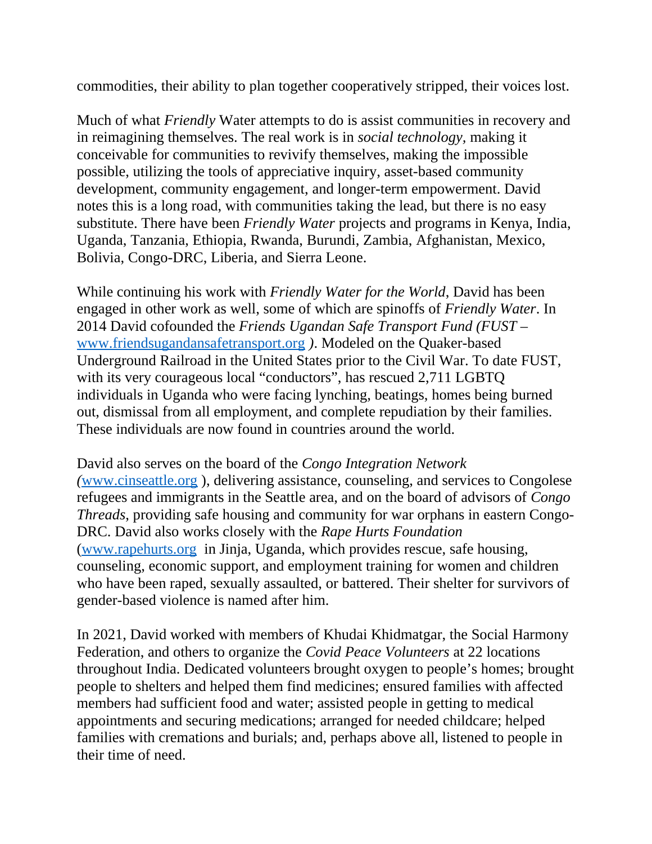commodities, their ability to plan together cooperatively stripped, their voices lost.

Much of what *Friendly* Water attempts to do is assist communities in recovery and in reimagining themselves. The real work is in *social technology,* making it conceivable for communities to revivify themselves, making the impossible possible, utilizing the tools of appreciative inquiry, asset-based community development, community engagement, and longer-term empowerment. David notes this is a long road, with communities taking the lead, but there is no easy substitute. There have been *Friendly Water* projects and programs in Kenya, India, Uganda, Tanzania, Ethiopia, Rwanda, Burundi, Zambia, Afghanistan, Mexico, Bolivia, Congo-DRC, Liberia, and Sierra Leone.

While continuing his work with *Friendly Water for the World*, David has been engaged in other work as well, some of which are spinoffs of *Friendly Water*. In 2014 David cofounded the *Friends Ugandan Safe Transport Fund (FUST –*  [www.friendsugandansafetransport.org](http://www.friendsugandansafetransport.org/) *)*. Modeled on the Quaker-based Underground Railroad in the United States prior to the Civil War. To date FUST, with its very courageous local "conductors", has rescued 2,711 LGBTQ individuals in Uganda who were facing lynching, beatings, homes being burned out, dismissal from all employment, and complete repudiation by their families. These individuals are now found in countries around the world.

David also serves on the board of the *Congo Integration Network (*[www.cinseattle.org](http://www.cinseattle.org/) ), delivering assistance, counseling, and services to Congolese refugees and immigrants in the Seattle area, and on the board of advisors of *Congo Threads*, providing safe housing and community for war orphans in eastern Congo-DRC. David also works closely with the *Rape Hurts Foundation* ([www.rapehurts.org](http://www.rapehurts.org/) in Jinja, Uganda, which provides rescue, safe housing, counseling, economic support, and employment training for women and children who have been raped, sexually assaulted, or battered. Their shelter for survivors of gender-based violence is named after him.

In 2021, David worked with members of Khudai Khidmatgar, the Social Harmony Federation, and others to organize the *Covid Peace Volunteers* at 22 locations throughout India. Dedicated volunteers brought oxygen to people's homes; brought people to shelters and helped them find medicines; ensured families with affected members had sufficient food and water; assisted people in getting to medical appointments and securing medications; arranged for needed childcare; helped families with cremations and burials; and, perhaps above all, listened to people in their time of need.